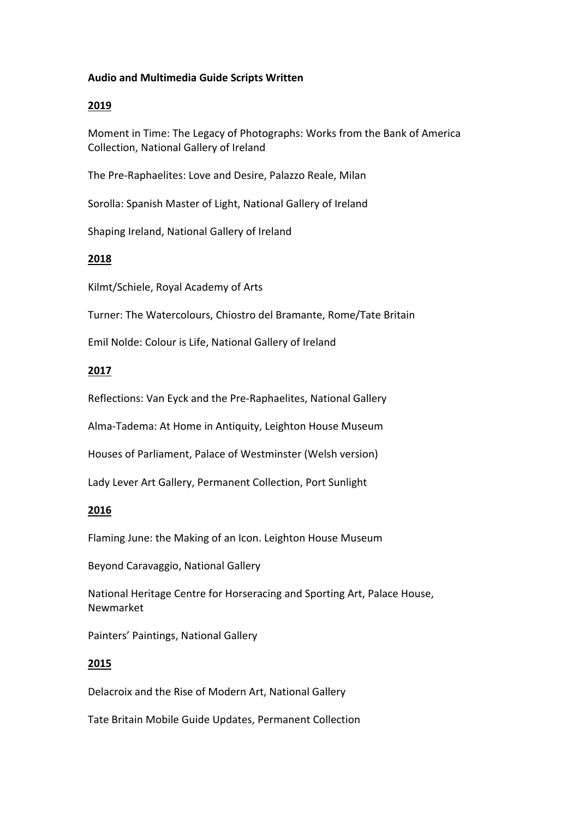#### **Audio and Multimedia Guide Scripts Written**

#### **2019**

Moment in Time: The Legacy of Photographs: Works from the Bank of America Collection, National Gallery of Ireland

The Pre-Raphaelites: Love and Desire, Palazzo Reale, Milan

Sorolla: Spanish Master of Light, National Gallery of Ireland

Shaping Ireland, National Gallery of Ireland

## **2018**

Kilmt/Schiele, Royal Academy of Arts

Turner: The Watercolours, Chiostro del Bramante, Rome/Tate Britain

Emil Nolde: Colour is Life, National Gallery of Ireland

## **2017**

Reflections: Van Eyck and the Pre-Raphaelites, National Gallery

Alma-Tadema: At Home in Antiquity, Leighton House Museum

Houses of Parliament, Palace of Westminster (Welsh version)

Lady Lever Art Gallery, Permanent Collection, Port Sunlight

#### **2016**

Flaming June: the Making of an Icon. Leighton House Museum

Beyond Caravaggio, National Gallery

National Heritage Centre for Horseracing and Sporting Art, Palace House, Newmarket

Painters' Paintings, National Gallery

#### **2015**

Delacroix and the Rise of Modern Art, National Gallery

Tate Britain Mobile Guide Updates, Permanent Collection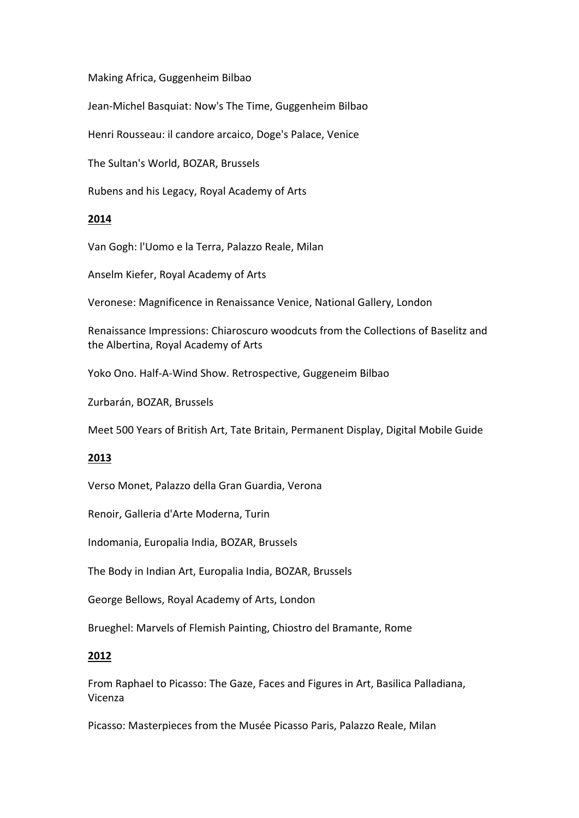#### Making Africa, Guggenheim Bilbao

Jean-Michel Basquiat: Now's The Time, Guggenheim Bilbao

Henri Rousseau: il candore arcaico, Doge's Palace, Venice

The Sultan's World, BOZAR, Brussels

Rubens and his Legacy, Royal Academy of Arts

## **2014**

Van Gogh: l'Uomo e la Terra, Palazzo Reale, Milan

Anselm Kiefer, Royal Academy of Arts

Veronese: Magnificence in Renaissance Venice, National Gallery, London

Renaissance Impressions: Chiaroscuro woodcuts from the Collections of Baselitz and the Albertina, Royal Academy of Arts

Yoko Ono. Half-A-Wind Show. Retrospective, Guggeneim Bilbao

Zurbarán, BOZAR, Brussels

Meet 500 Years of British Art, Tate Britain, Permanent Display, Digital Mobile Guide

# **2013**

Verso Monet, Palazzo della Gran Guardia, Verona

Renoir, Galleria d'Arte Moderna, Turin

Indomania, Europalia India, BOZAR, Brussels

The Body in Indian Art, Europalia India, BOZAR, Brussels

George Bellows, Royal Academy of Arts, London

Brueghel: Marvels of Flemish Painting, Chiostro del Bramante, Rome

# **2012**

From Raphael to Picasso: The Gaze, Faces and Figures in Art, Basilica Palladiana, Vicenza

Picasso: Masterpieces from the Musée Picasso Paris, Palazzo Reale, Milan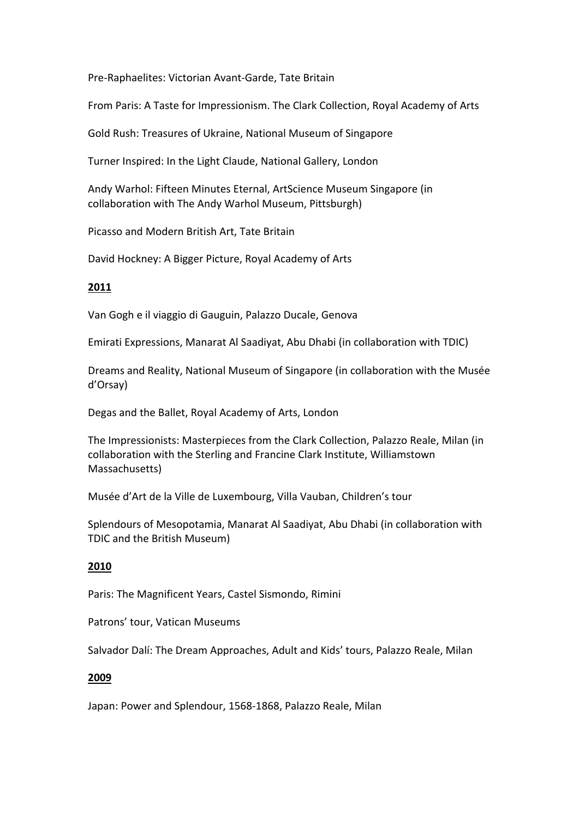Pre-Raphaelites: Victorian Avant-Garde, Tate Britain

From Paris: A Taste for Impressionism. The Clark Collection, Royal Academy of Arts

Gold Rush: Treasures of Ukraine, National Museum of Singapore

Turner Inspired: In the Light Claude, National Gallery, London

Andy Warhol: Fifteen Minutes Eternal, ArtScience Museum Singapore (in collaboration with The Andy Warhol Museum, Pittsburgh)

Picasso and Modern British Art, Tate Britain

David Hockney: A Bigger Picture, Royal Academy of Arts

## **2011**

Van Gogh e il viaggio di Gauguin, Palazzo Ducale, Genova

Emirati Expressions, Manarat Al Saadiyat, Abu Dhabi (in collaboration with TDIC)

Dreams and Reality, National Museum of Singapore (in collaboration with the Musée d'Orsay)

Degas and the Ballet, Royal Academy of Arts, London

The Impressionists: Masterpieces from the Clark Collection, Palazzo Reale, Milan (in collaboration with the Sterling and Francine Clark Institute, Williamstown Massachusetts)

Musée d'Art de la Ville de Luxembourg, Villa Vauban, Children's tour

Splendours of Mesopotamia, Manarat Al Saadiyat, Abu Dhabi (in collaboration with TDIC and the British Museum)

#### **2010**

Paris: The Magnificent Years, Castel Sismondo, Rimini

Patrons' tour, Vatican Museums

Salvador Dalí: The Dream Approaches, Adult and Kids' tours, Palazzo Reale, Milan

#### **2009**

Japan: Power and Splendour, 1568-1868, Palazzo Reale, Milan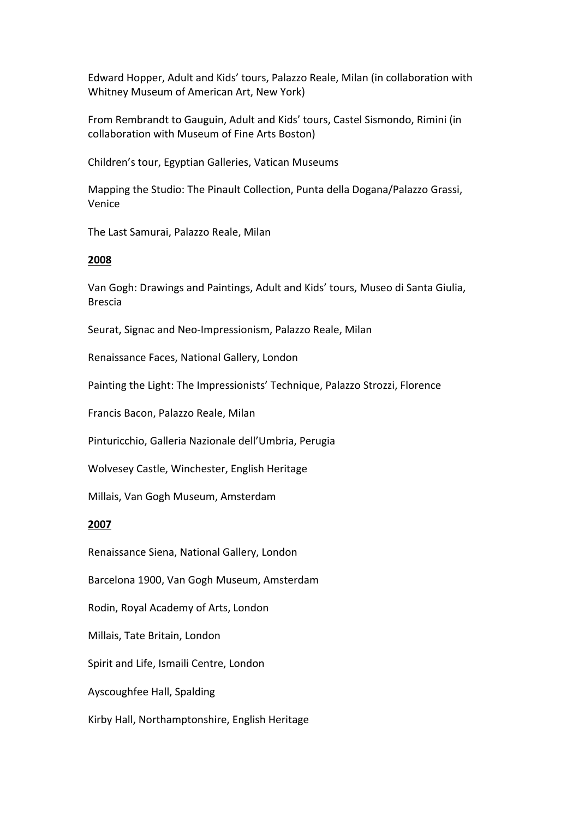Edward Hopper, Adult and Kids' tours, Palazzo Reale, Milan (in collaboration with Whitney Museum of American Art, New York)

From Rembrandt to Gauguin, Adult and Kids' tours, Castel Sismondo, Rimini (in collaboration with Museum of Fine Arts Boston)

Children's tour, Egyptian Galleries, Vatican Museums

Mapping the Studio: The Pinault Collection, Punta della Dogana/Palazzo Grassi, Venice

The Last Samurai, Palazzo Reale, Milan

#### **2008**

Van Gogh: Drawings and Paintings, Adult and Kids' tours, Museo di Santa Giulia, Brescia

Seurat, Signac and Neo-Impressionism, Palazzo Reale, Milan

Renaissance Faces, National Gallery, London

Painting the Light: The Impressionists' Technique, Palazzo Strozzi, Florence

Francis Bacon, Palazzo Reale, Milan

Pinturicchio, Galleria Nazionale dell'Umbria, Perugia

Wolvesey Castle, Winchester, English Heritage

Millais, Van Gogh Museum, Amsterdam

#### **2007**

Renaissance Siena, National Gallery, London

Barcelona 1900, Van Gogh Museum, Amsterdam

Rodin, Royal Academy of Arts, London

Millais, Tate Britain, London

Spirit and Life, Ismaili Centre, London

Ayscoughfee Hall, Spalding

Kirby Hall, Northamptonshire, English Heritage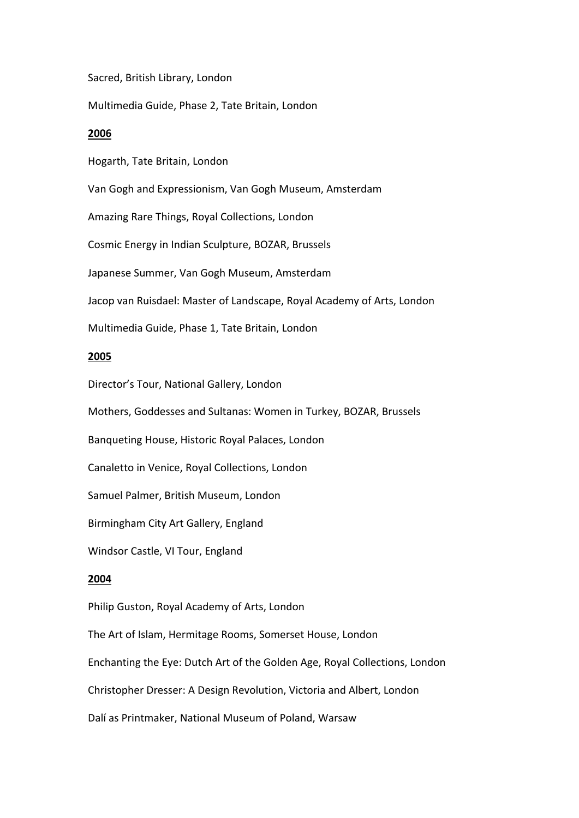Sacred, British Library, London

Multimedia Guide, Phase 2, Tate Britain, London

#### **2006**

Hogarth, Tate Britain, London

Van Gogh and Expressionism, Van Gogh Museum, Amsterdam

Amazing Rare Things, Royal Collections, London

Cosmic Energy in Indian Sculpture, BOZAR, Brussels

Japanese Summer, Van Gogh Museum, Amsterdam

Jacop van Ruisdael: Master of Landscape, Royal Academy of Arts, London

Multimedia Guide, Phase 1, Tate Britain, London

#### **2005**

Director's Tour, National Gallery, London

Mothers, Goddesses and Sultanas: Women in Turkey, BOZAR, Brussels

Banqueting House, Historic Royal Palaces, London

Canaletto in Venice, Royal Collections, London

Samuel Palmer, British Museum, London

Birmingham City Art Gallery, England

Windsor Castle, VI Tour, England

#### **2004**

Philip Guston, Royal Academy of Arts, London

The Art of Islam, Hermitage Rooms, Somerset House, London

Enchanting the Eye: Dutch Art of the Golden Age, Royal Collections, London

Christopher Dresser: A Design Revolution, Victoria and Albert, London

Dalí as Printmaker, National Museum of Poland, Warsaw